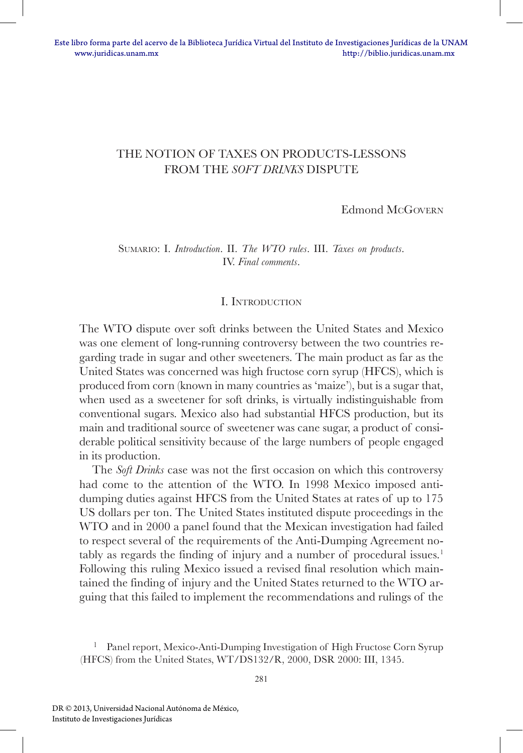# THE NOTION OF TAXES ON PRODUCTS-LESSONS FROM THE *SOFT DRINKS* DISPUTE

Edmond McGovern

Sumario: I. *Introduction*. II. *The WTO rules*. III. *Taxes on products*. IV. *Final comments*.

#### I. Introduction

The WTO dispute over soft drinks between the United States and Mexico was one element of long-running controversy between the two countries regarding trade in sugar and other sweeteners. The main product as far as the United States was concerned was high fructose corn syrup (HFCS), which is produced from corn (known in many countries as 'maize'), but is a sugar that, when used as a sweetener for soft drinks, is virtually indistinguishable from conventional sugars. Mexico also had substantial HFCS production, but its main and traditional source of sweetener was cane sugar, a product of considerable political sensitivity because of the large numbers of people engaged in its production.

The *Soft Drinks* case was not the first occasion on which this controversy had come to the attention of the WTO. In 1998 Mexico imposed antidumping duties against HFCS from the United States at rates of up to 175 US dollars per ton. The United States instituted dispute proceedings in the WTO and in 2000 a panel found that the Mexican investigation had failed to respect several of the requirements of the Anti-Dumping Agreement notably as regards the finding of injury and a number of procedural issues.<sup>1</sup> Following this ruling Mexico issued a revised final resolution which maintained the finding of injury and the United States returned to the WTO arguing that this failed to implement the recommendations and rulings of the

<sup>&</sup>lt;sup>1</sup> Panel report, Mexico-Anti-Dumping Investigation of High Fructose Corn Syrup (HFCS) from the United States, WT/DS132/R, 2000, DSR 2000: III, 1345.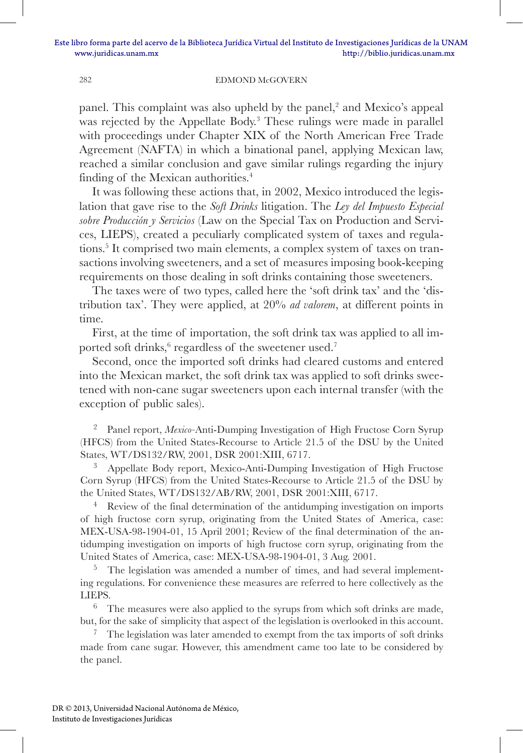panel. This complaint was also upheld by the panel,<sup>2</sup> and Mexico's appeal was rejected by the Appellate Body.<sup>3</sup> These rulings were made in parallel with proceedings under Chapter XIX of the North American Free Trade Agreement (NAFTA) in which a binational panel, applying Mexican law, reached a similar conclusion and gave similar rulings regarding the injury finding of the Mexican authorities.<sup>4</sup>

It was following these actions that, in 2002, Mexico introduced the legislation that gave rise to the *Soft Drinks* litigation. The *Ley del Impuesto Especial sobre Producción y Servicios* (Law on the Special Tax on Production and Services, LIEPS), created a peculiarly complicated system of taxes and regulations.<sup>5</sup> It comprised two main elements, a complex system of taxes on transactions involving sweeteners, and a set of measures imposing book-keeping requirements on those dealing in soft drinks containing those sweeteners.

The taxes were of two types, called here the 'soft drink tax' and the 'distribution tax'. They were applied, at 20% *ad valorem*, at different points in time.

First, at the time of importation, the soft drink tax was applied to all imported soft drinks,<sup>6</sup> regardless of the sweetener used.<sup>7</sup>

Second, once the imported soft drinks had cleared customs and entered into the Mexican market, the soft drink tax was applied to soft drinks sweetened with non-cane sugar sweeteners upon each internal transfer (with the exception of public sales).

<sup>2</sup> Panel report, *Mexico-*Anti-Dumping Investigation of High Fructose Corn Syrup (HFCS) from the United States-Recourse to Article 21.5 of the DSU by the United States, WT/DS132/RW, 2001, DSR 2001:XIII, 6717.

<sup>3</sup> Appellate Body report, Mexico-Anti-Dumping Investigation of High Fructose Corn Syrup (HFCS) from the United States-Recourse to Article 21.5 of the DSU by the United States, WT/DS132/AB/RW, 2001, DSR 2001:XIII, 6717.

<sup>4</sup> Review of the final determination of the antidumping investigation on imports of high fructose corn syrup, originating from the United States of America, case: MEX-USA-98-1904-01, 15 April 2001; Review of the final determination of the antidumping investigation on imports of high fructose corn syrup, originating from the United States of America, case: MEX-USA-98-1904-01, 3 Aug. 2001.

<sup>5</sup> The legislation was amended a number of times, and had several implementing regulations. For convenience these measures are referred to here collectively as the LIEPS.

 $6$  The measures were also applied to the syrups from which soft drinks are made, but, for the sake of simplicity that aspect of the legislation is overlooked in this account.

<sup>7</sup> The legislation was later amended to exempt from the tax imports of soft drinks made from cane sugar. However, this amendment came too late to be considered by the panel.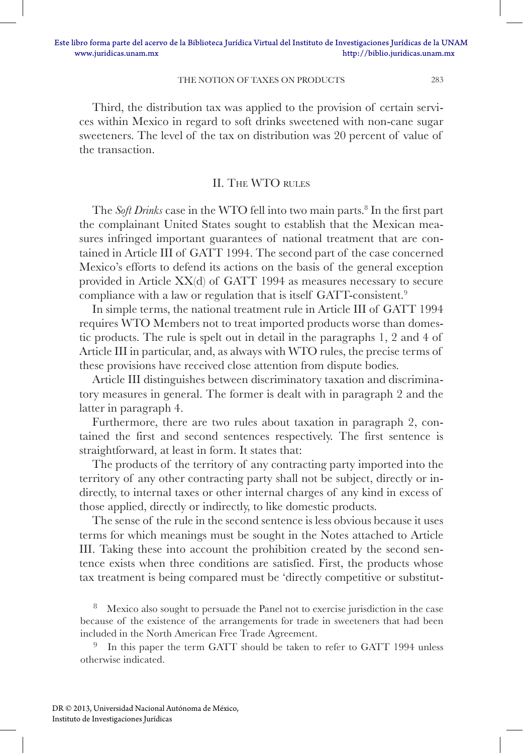Third, the distribution tax was applied to the provision of certain services within Mexico in regard to soft drinks sweetened with non-cane sugar sweeteners. The level of the tax on distribution was 20 percent of value of the transaction.

#### II. The WTO rules

The *Soft Drinks* case in the WTO fell into two main parts.<sup>8</sup> In the first part the complainant United States sought to establish that the Mexican measures infringed important guarantees of national treatment that are contained in Article III of GATT 1994. The second part of the case concerned Mexico's efforts to defend its actions on the basis of the general exception provided in Article XX(d) of GATT 1994 as measures necessary to secure compliance with a law or regulation that is itself GATT-consistent.<sup>9</sup>

In simple terms, the national treatment rule in Article III of GATT 1994 requires WTO Members not to treat imported products worse than domestic products. The rule is spelt out in detail in the paragraphs 1, 2 and 4 of Article III in particular, and, as always with WTO rules, the precise terms of these provisions have received close attention from dispute bodies.

Article III distinguishes between discriminatory taxation and discriminatory measures in general. The former is dealt with in paragraph 2 and the latter in paragraph 4.

Furthermore, there are two rules about taxation in paragraph 2, contained the first and second sentences respectively. The first sentence is straightforward, at least in form. It states that:

The products of the territory of any contracting party imported into the territory of any other contracting party shall not be subject, directly or indirectly, to internal taxes or other internal charges of any kind in excess of those applied, directly or indirectly, to like domestic products.

The sense of the rule in the second sentence is less obvious because it uses terms for which meanings must be sought in the Notes attached to Article III. Taking these into account the prohibition created by the second sentence exists when three conditions are satisfied. First, the products whose tax treatment is being compared must be 'directly competitive or substitut-

Mexico also sought to persuade the Panel not to exercise jurisdiction in the case because of the existence of the arrangements for trade in sweeteners that had been included in the North American Free Trade Agreement.

<sup>9</sup> In this paper the term GATT should be taken to refer to GATT 1994 unless otherwise indicated.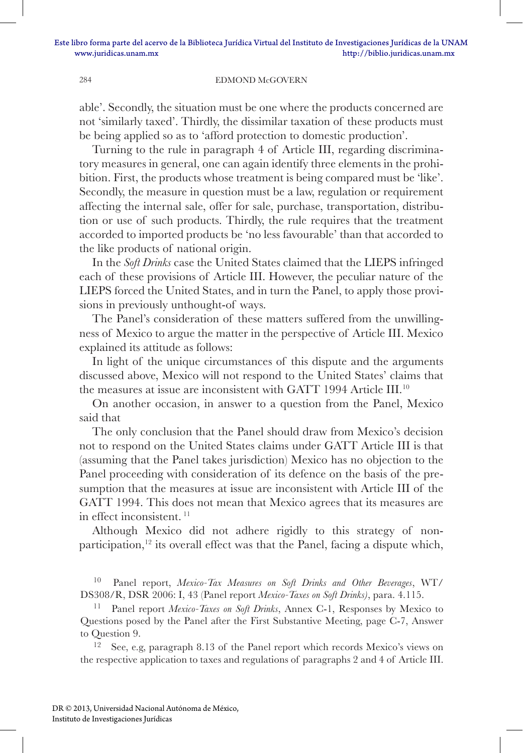able'. Secondly, the situation must be one where the products concerned are not 'similarly taxed'. Thirdly, the dissimilar taxation of these products must be being applied so as to 'afford protection to domestic production'.

Turning to the rule in paragraph 4 of Article III, regarding discriminatory measures in general, one can again identify three elements in the prohibition. First, the products whose treatment is being compared must be 'like'. Secondly, the measure in question must be a law, regulation or requirement affecting the internal sale, offer for sale, purchase, transportation, distribution or use of such products. Thirdly, the rule requires that the treatment accorded to imported products be 'no less favourable' than that accorded to the like products of national origin.

In the *Soft Drinks* case the United States claimed that the LIEPS infringed each of these provisions of Article III. However, the peculiar nature of the LIEPS forced the United States, and in turn the Panel, to apply those provisions in previously unthought-of ways.

The Panel's consideration of these matters suffered from the unwillingness of Mexico to argue the matter in the perspective of Article III. Mexico explained its attitude as follows:

In light of the unique circumstances of this dispute and the arguments discussed above, Mexico will not respond to the United States' claims that the measures at issue are inconsistent with GATT 1994 Article III.<sup>10</sup>

On another occasion, in answer to a question from the Panel, Mexico said that

The only conclusion that the Panel should draw from Mexico's decision not to respond on the United States claims under GATT Article III is that (assuming that the Panel takes jurisdiction) Mexico has no objection to the Panel proceeding with consideration of its defence on the basis of the presumption that the measures at issue are inconsistent with Article III of the GATT 1994. This does not mean that Mexico agrees that its measures are in effect inconsistent. <sup>11</sup>

Although Mexico did not adhere rigidly to this strategy of nonparticipation,<sup>12</sup> its overall effect was that the Panel, facing a dispute which,

<sup>10</sup> Panel report, *Mexico-Tax Measures on Soft Drinks and Other Beverages*, WT/ DS308/R, DSR 2006: I, 43 (Panel report *Mexico-Taxes on Soft Drinks)*, para. 4.115.

Panel report *Mexico-Taxes on Soft Drinks*, Annex C-1, Responses by Mexico to Questions posed by the Panel after the First Substantive Meeting, page C-7, Answer to Question 9.

See, e.g, paragraph 8.13 of the Panel report which records Mexico's views on the respective application to taxes and regulations of paragraphs 2 and 4 of Article III.

DR © 2013, Universidad Nacional Autónoma de México, Instituto de Investigaciones Jurídicas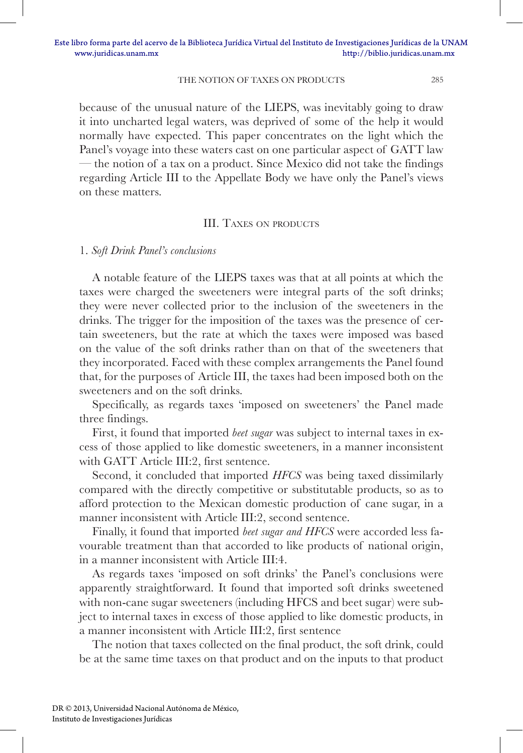because of the unusual nature of the LIEPS, was inevitably going to draw it into uncharted legal waters, was deprived of some of the help it would normally have expected. This paper concentrates on the light which the Panel's voyage into these waters cast on one particular aspect of GATT law — the notion of a tax on a product. Since Mexico did not take the findings regarding Article III to the Appellate Body we have only the Panel's views on these matters.

### III. TAXES ON PRODUCTS

1. *Soft Drink Panel's conclusions* 

A notable feature of the LIEPS taxes was that at all points at which the taxes were charged the sweeteners were integral parts of the soft drinks; they were never collected prior to the inclusion of the sweeteners in the drinks. The trigger for the imposition of the taxes was the presence of certain sweeteners, but the rate at which the taxes were imposed was based on the value of the soft drinks rather than on that of the sweeteners that they incorporated. Faced with these complex arrangements the Panel found that, for the purposes of Article III, the taxes had been imposed both on the sweeteners and on the soft drinks.

Specifically, as regards taxes 'imposed on sweeteners' the Panel made three findings.

First, it found that imported *beet sugar* was subject to internal taxes in excess of those applied to like domestic sweeteners, in a manner inconsistent with GATT Article III:2, first sentence.

Second, it concluded that imported *HFCS* was being taxed dissimilarly compared with the directly competitive or substitutable products, so as to afford protection to the Mexican domestic production of cane sugar, in a manner inconsistent with Article III:2, second sentence.

Finally, it found that imported *beet sugar and HFCS* were accorded less favourable treatment than that accorded to like products of national origin, in a manner inconsistent with Article III:4.

As regards taxes 'imposed on soft drinks' the Panel's conclusions were apparently straightforward. It found that imported soft drinks sweetened with non-cane sugar sweeteners (including HFCS and beet sugar) were subject to internal taxes in excess of those applied to like domestic products, in a manner inconsistent with Article III:2, first sentence

The notion that taxes collected on the final product, the soft drink, could be at the same time taxes on that product and on the inputs to that product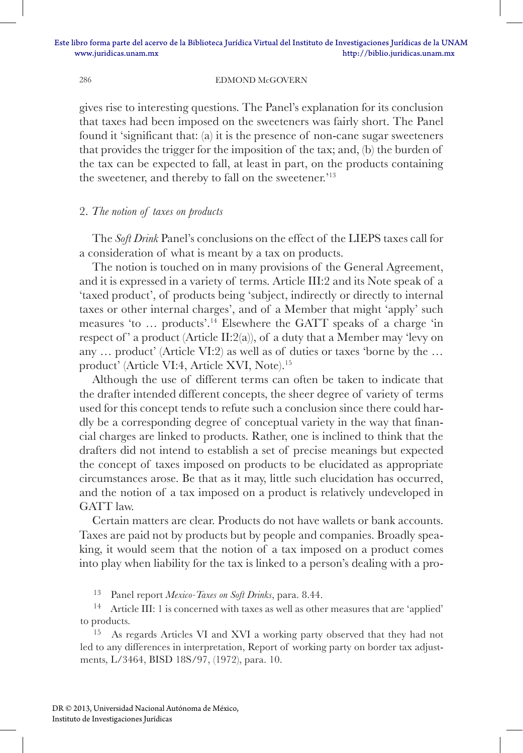gives rise to interesting questions. The Panel's explanation for its conclusion that taxes had been imposed on the sweeteners was fairly short. The Panel found it 'significant that: (a) it is the presence of non-cane sugar sweeteners that provides the trigger for the imposition of the tax; and, (b) the burden of the tax can be expected to fall, at least in part, on the products containing the sweetener, and thereby to fall on the sweetener.'13

## 2. *The notion of taxes on products*

The *Soft Drink* Panel's conclusions on the effect of the LIEPS taxes call for a consideration of what is meant by a tax on products.

The notion is touched on in many provisions of the General Agreement, and it is expressed in a variety of terms. Article III:2 and its Note speak of a 'taxed product', of products being 'subject, indirectly or directly to internal taxes or other internal charges', and of a Member that might 'apply' such measures 'to … products'.14 Elsewhere the GATT speaks of a charge 'in respect of' a product (Article II:2(a)), of a duty that a Member may 'levy on any … product' (Article VI:2) as well as of duties or taxes 'borne by the … product' (Article VI:4, Article XVI, Note).15

Although the use of different terms can often be taken to indicate that the drafter intended different concepts, the sheer degree of variety of terms used for this concept tends to refute such a conclusion since there could hardly be a corresponding degree of conceptual variety in the way that financial charges are linked to products. Rather, one is inclined to think that the drafters did not intend to establish a set of precise meanings but expected the concept of taxes imposed on products to be elucidated as appropriate circumstances arose. Be that as it may, little such elucidation has occurred, and the notion of a tax imposed on a product is relatively undeveloped in GATT law.

Certain matters are clear. Products do not have wallets or bank accounts. Taxes are paid not by products but by people and companies. Broadly speaking, it would seem that the notion of a tax imposed on a product comes into play when liability for the tax is linked to a person's dealing with a pro-

<sup>13</sup> Panel report *Mexico-Taxes on Soft Drinks*, para. 8.44.

<sup>14</sup> Article III: 1 is concerned with taxes as well as other measures that are 'applied' to products.

<sup>15</sup> As regards Articles VI and XVI a working party observed that they had not led to any differences in interpretation, Report of working party on border tax adjustments, L/3464, BISD 18S/97, (1972), para. 10.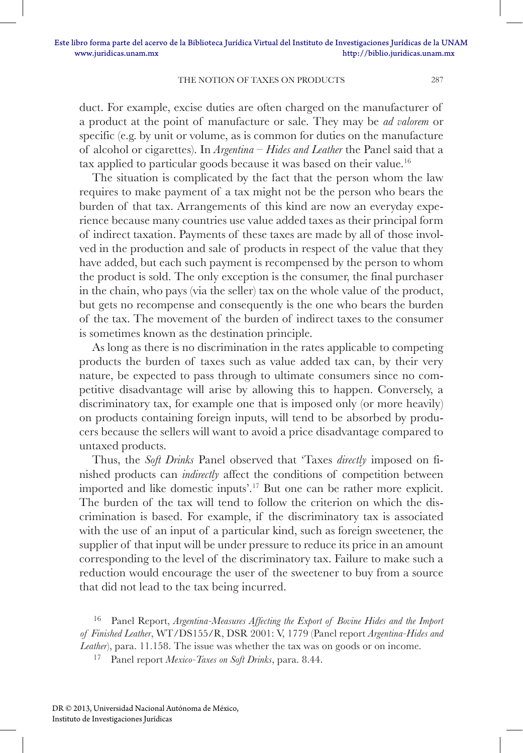duct. For example, excise duties are often charged on the manufacturer of a product at the point of manufacture or sale. They may be *ad valorem* or specific (e.g. by unit or volume, as is common for duties on the manufacture of alcohol or cigarettes). In *Argentina – Hides and Leather* the Panel said that a tax applied to particular goods because it was based on their value.16

The situation is complicated by the fact that the person whom the law requires to make payment of a tax might not be the person who bears the burden of that tax. Arrangements of this kind are now an everyday experience because many countries use value added taxes as their principal form of indirect taxation. Payments of these taxes are made by all of those involved in the production and sale of products in respect of the value that they have added, but each such payment is recompensed by the person to whom the product is sold. The only exception is the consumer, the final purchaser in the chain, who pays (via the seller) tax on the whole value of the product, but gets no recompense and consequently is the one who bears the burden of the tax. The movement of the burden of indirect taxes to the consumer is sometimes known as the destination principle.

As long as there is no discrimination in the rates applicable to competing products the burden of taxes such as value added tax can, by their very nature, be expected to pass through to ultimate consumers since no competitive disadvantage will arise by allowing this to happen. Conversely, a discriminatory tax, for example one that is imposed only (or more heavily) on products containing foreign inputs, will tend to be absorbed by producers because the sellers will want to avoid a price disadvantage compared to untaxed products.

Thus, the *Soft Drinks* Panel observed that 'Taxes *directly* imposed on finished products can *indirectly* affect the conditions of competition between imported and like domestic inputs'.17 But one can be rather more explicit. The burden of the tax will tend to follow the criterion on which the discrimination is based. For example, if the discriminatory tax is associated with the use of an input of a particular kind, such as foreign sweetener, the supplier of that input will be under pressure to reduce its price in an amount corresponding to the level of the discriminatory tax. Failure to make such a reduction would encourage the user of the sweetener to buy from a source that did not lead to the tax being incurred.

Panel Report, *Argentina-Measures Affecting the Export of Bovine Hides and the Import of Finished Leather*, WT/DS155/R, DSR 2001: V, 1779 (Panel report *Argentina-Hides and Leather*), para. 11.158. The issue was whether the tax was on goods or on income.

<sup>17</sup> Panel report *Mexico-Taxes on Soft Drinks*, para. 8.44.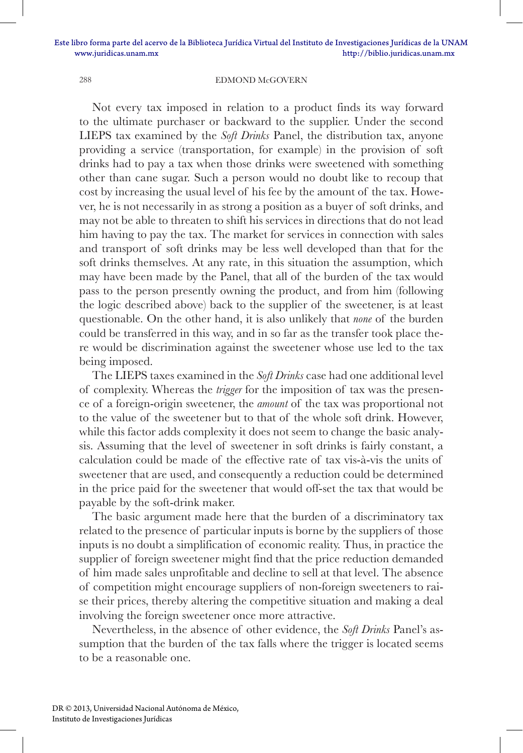Not every tax imposed in relation to a product finds its way forward to the ultimate purchaser or backward to the supplier. Under the second LIEPS tax examined by the *Soft Drinks* Panel, the distribution tax, anyone providing a service (transportation, for example) in the provision of soft drinks had to pay a tax when those drinks were sweetened with something other than cane sugar. Such a person would no doubt like to recoup that cost by increasing the usual level of his fee by the amount of the tax. However, he is not necessarily in as strong a position as a buyer of soft drinks, and may not be able to threaten to shift his services in directions that do not lead him having to pay the tax. The market for services in connection with sales and transport of soft drinks may be less well developed than that for the soft drinks themselves. At any rate, in this situation the assumption, which may have been made by the Panel, that all of the burden of the tax would pass to the person presently owning the product, and from him (following the logic described above) back to the supplier of the sweetener, is at least questionable. On the other hand, it is also unlikely that *none* of the burden could be transferred in this way, and in so far as the transfer took place there would be discrimination against the sweetener whose use led to the tax being imposed.

The LIEPS taxes examined in the *Soft Drinks* case had one additional level of complexity. Whereas the *trigger* for the imposition of tax was the presence of a foreign-origin sweetener, the *amount* of the tax was proportional not to the value of the sweetener but to that of the whole soft drink. However, while this factor adds complexity it does not seem to change the basic analysis. Assuming that the level of sweetener in soft drinks is fairly constant, a calculation could be made of the effective rate of tax vis-à-vis the units of sweetener that are used, and consequently a reduction could be determined in the price paid for the sweetener that would off-set the tax that would be payable by the soft-drink maker.

The basic argument made here that the burden of a discriminatory tax related to the presence of particular inputs is borne by the suppliers of those inputs is no doubt a simplification of economic reality. Thus, in practice the supplier of foreign sweetener might find that the price reduction demanded of him made sales unprofitable and decline to sell at that level. The absence of competition might encourage suppliers of non-foreign sweeteners to raise their prices, thereby altering the competitive situation and making a deal involving the foreign sweetener once more attractive.

Nevertheless, in the absence of other evidence, the *Soft Drinks* Panel's assumption that the burden of the tax falls where the trigger is located seems to be a reasonable one.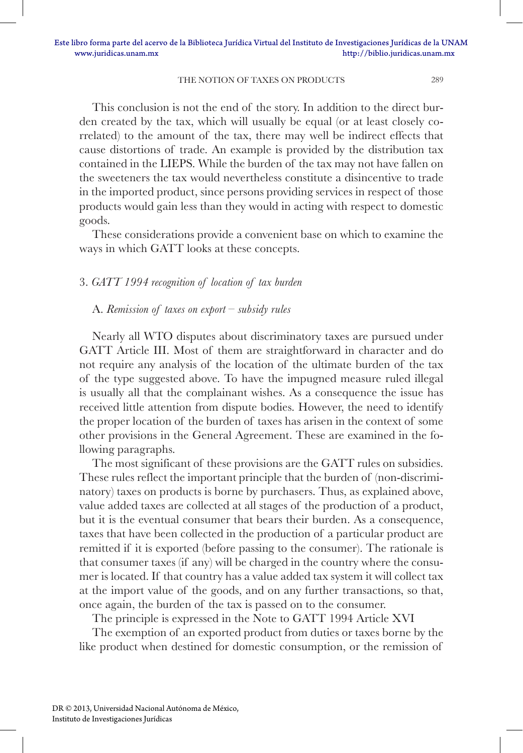This conclusion is not the end of the story. In addition to the direct burden created by the tax, which will usually be equal (or at least closely correlated) to the amount of the tax, there may well be indirect effects that cause distortions of trade. An example is provided by the distribution tax contained in the LIEPS. While the burden of the tax may not have fallen on the sweeteners the tax would nevertheless constitute a disincentive to trade in the imported product, since persons providing services in respect of those products would gain less than they would in acting with respect to domestic goods.

These considerations provide a convenient base on which to examine the ways in which GATT looks at these concepts.

### 3. *GATT 1994 recognition of location of tax burden*

#### A. *Remission of taxes on export – subsidy rules*

Nearly all WTO disputes about discriminatory taxes are pursued under GATT Article III. Most of them are straightforward in character and do not require any analysis of the location of the ultimate burden of the tax of the type suggested above. To have the impugned measure ruled illegal is usually all that the complainant wishes. As a consequence the issue has received little attention from dispute bodies. However, the need to identify the proper location of the burden of taxes has arisen in the context of some other provisions in the General Agreement. These are examined in the following paragraphs.

The most significant of these provisions are the GATT rules on subsidies. These rules reflect the important principle that the burden of (non-discriminatory) taxes on products is borne by purchasers. Thus, as explained above, value added taxes are collected at all stages of the production of a product, but it is the eventual consumer that bears their burden. As a consequence, taxes that have been collected in the production of a particular product are remitted if it is exported (before passing to the consumer). The rationale is that consumer taxes (if any) will be charged in the country where the consumer is located. If that country has a value added tax system it will collect tax at the import value of the goods, and on any further transactions, so that, once again, the burden of the tax is passed on to the consumer.

The principle is expressed in the Note to GATT 1994 Article XVI

The exemption of an exported product from duties or taxes borne by the like product when destined for domestic consumption, or the remission of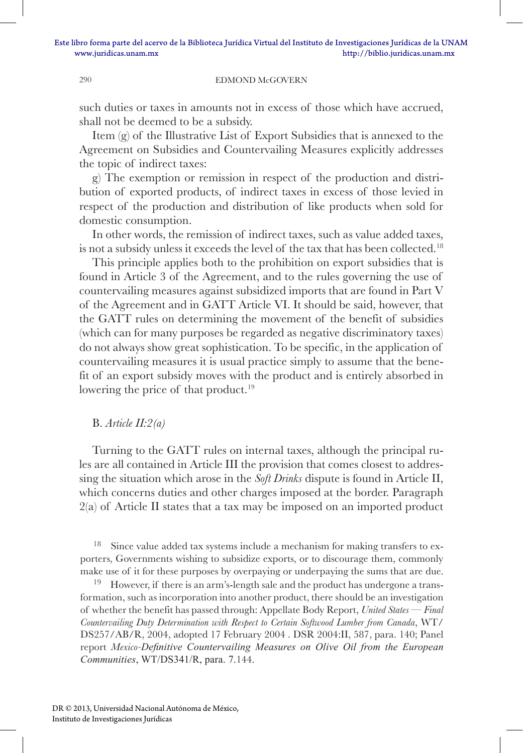such duties or taxes in amounts not in excess of those which have accrued, shall not be deemed to be a subsidy.

Item (g) of the Illustrative List of Export Subsidies that is annexed to the Agreement on Subsidies and Countervailing Measures explicitly addresses the topic of indirect taxes:

g) The exemption or remission in respect of the production and distribution of exported products, of indirect taxes in excess of those levied in respect of the production and distribution of like products when sold for domestic consumption.

In other words, the remission of indirect taxes, such as value added taxes, is not a subsidy unless it exceeds the level of the tax that has been collected.<sup>18</sup>

This principle applies both to the prohibition on export subsidies that is found in Article 3 of the Agreement, and to the rules governing the use of countervailing measures against subsidized imports that are found in Part V of the Agreement and in GATT Article VI. It should be said, however, that the GATT rules on determining the movement of the benefit of subsidies (which can for many purposes be regarded as negative discriminatory taxes) do not always show great sophistication. To be specific, in the application of countervailing measures it is usual practice simply to assume that the benefit of an export subsidy moves with the product and is entirely absorbed in lowering the price of that product.<sup>19</sup>

#### B. *Article II:2(a)*

Turning to the GATT rules on internal taxes, although the principal rules are all contained in Article III the provision that comes closest to addressing the situation which arose in the *Soft Drinks* dispute is found in Article II, which concerns duties and other charges imposed at the border. Paragraph 2(a) of Article II states that a tax may be imposed on an imported product

Since value added tax systems include a mechanism for making transfers to exporters, Governments wishing to subsidize exports, or to discourage them, commonly make use of it for these purposes by overpaying or underpaying the sums that are due.

<sup>19</sup> However, if there is an arm's-length sale and the product has undergone a transformation, such as incorporation into another product, there should be an investigation of whether the benefit has passed through: Appellate Body Report, *United States — Final Countervailing Duty Determination with Respect to Certain Softwood Lumber from Canada*, WT/ DS257/AB/R, 2004, adopted 17 February 2004 . DSR 2004:II, 587, para. 140; Panel report *Mexico-Definitive Countervailing Measures on Olive Oil from the European Communities*, WT/DS341/R, para. 7.144.

DR © 2013, Universidad Nacional Autónoma de México, Instituto de Investigaciones Jurídicas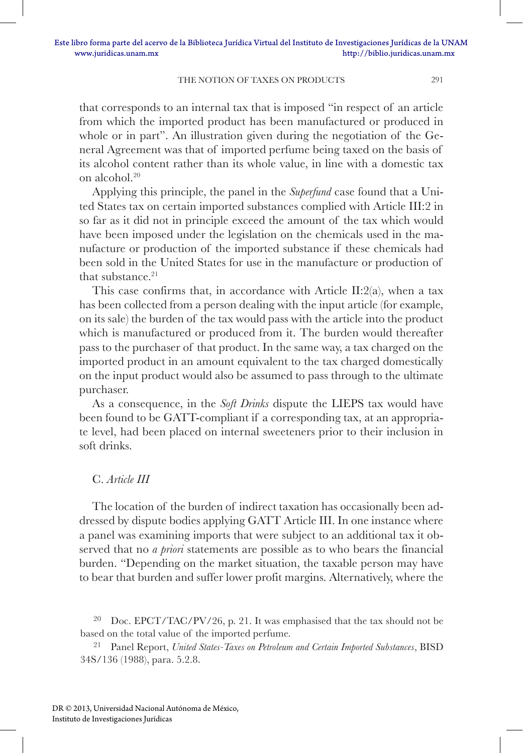that corresponds to an internal tax that is imposed "in respect of an article from which the imported product has been manufactured or produced in whole or in part". An illustration given during the negotiation of the General Agreement was that of imported perfume being taxed on the basis of its alcohol content rather than its whole value, in line with a domestic tax on alcohol.20

Applying this principle, the panel in the *Superfund* case found that a United States tax on certain imported substances complied with Article III:2 in so far as it did not in principle exceed the amount of the tax which would have been imposed under the legislation on the chemicals used in the manufacture or production of the imported substance if these chemicals had been sold in the United States for use in the manufacture or production of that substance  $21$ 

This case confirms that, in accordance with Article II:2(a), when a tax has been collected from a person dealing with the input article (for example, on its sale) the burden of the tax would pass with the article into the product which is manufactured or produced from it. The burden would thereafter pass to the purchaser of that product. In the same way, a tax charged on the imported product in an amount equivalent to the tax charged domestically on the input product would also be assumed to pass through to the ultimate purchaser.

As a consequence, in the *Soft Drinks* dispute the LIEPS tax would have been found to be GATT-compliant if a corresponding tax, at an appropriate level, had been placed on internal sweeteners prior to their inclusion in soft drinks.

## C. *Article III*

The location of the burden of indirect taxation has occasionally been addressed by dispute bodies applying GATT Article III. In one instance where a panel was examining imports that were subject to an additional tax it observed that no *a priori* statements are possible as to who bears the financial burden. "Depending on the market situation, the taxable person may have to bear that burden and suffer lower profit margins. Alternatively, where the

<sup>&</sup>lt;sup>20</sup> Doc. EPCT/TAC/PV/26, p. 21. It was emphasised that the tax should not be based on the total value of the imported perfume.

<sup>21</sup> Panel Report, *United States-Taxes on Petroleum and Certain Imported Substances*, BISD 34S/136 (1988), para. 5.2.8.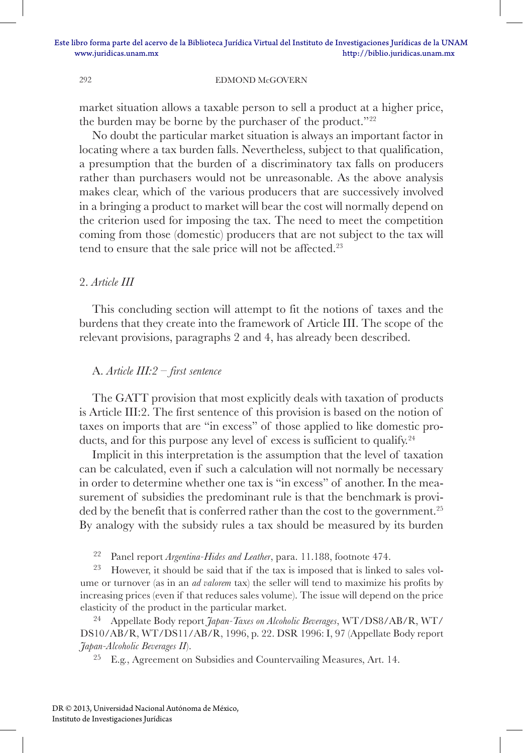market situation allows a taxable person to sell a product at a higher price, the burden may be borne by the purchaser of the product."22

No doubt the particular market situation is always an important factor in locating where a tax burden falls. Nevertheless, subject to that qualification, a presumption that the burden of a discriminatory tax falls on producers rather than purchasers would not be unreasonable. As the above analysis makes clear, which of the various producers that are successively involved in a bringing a product to market will bear the cost will normally depend on the criterion used for imposing the tax. The need to meet the competition coming from those (domestic) producers that are not subject to the tax will tend to ensure that the sale price will not be affected.<sup>23</sup>

### 2. *Article III*

This concluding section will attempt to fit the notions of taxes and the burdens that they create into the framework of Article III. The scope of the relevant provisions, paragraphs 2 and 4, has already been described.

#### A. *Article III:2 – first sentence*

The GATT provision that most explicitly deals with taxation of products is Article III:2. The first sentence of this provision is based on the notion of taxes on imports that are "in excess" of those applied to like domestic products, and for this purpose any level of excess is sufficient to qualify.<sup>24</sup>

Implicit in this interpretation is the assumption that the level of taxation can be calculated, even if such a calculation will not normally be necessary in order to determine whether one tax is "in excess" of another. In the measurement of subsidies the predominant rule is that the benchmark is provided by the benefit that is conferred rather than the cost to the government.<sup>25</sup> By analogy with the subsidy rules a tax should be measured by its burden

<sup>22</sup> Panel report *Argentina-Hides and Leather*, para. 11.188, footnote 474.

<sup>23</sup> However, it should be said that if the tax is imposed that is linked to sales volume or turnover (as in an *ad valorem* tax) the seller will tend to maximize his profits by increasing prices (even if that reduces sales volume). The issue will depend on the price elasticity of the product in the particular market.

<sup>24</sup> Appellate Body report *Japan-Taxes on Alcoholic Beverages*, WT/DS8/AB/R, WT/ DS10/AB/R, WT/DS11/AB/R, 1996, p. 22. DSR 1996: I, 97 (Appellate Body report *Japan-Alcoholic Beverages II*).

<sup>25</sup> E.g., Agreement on Subsidies and Countervailing Measures, Art. 14.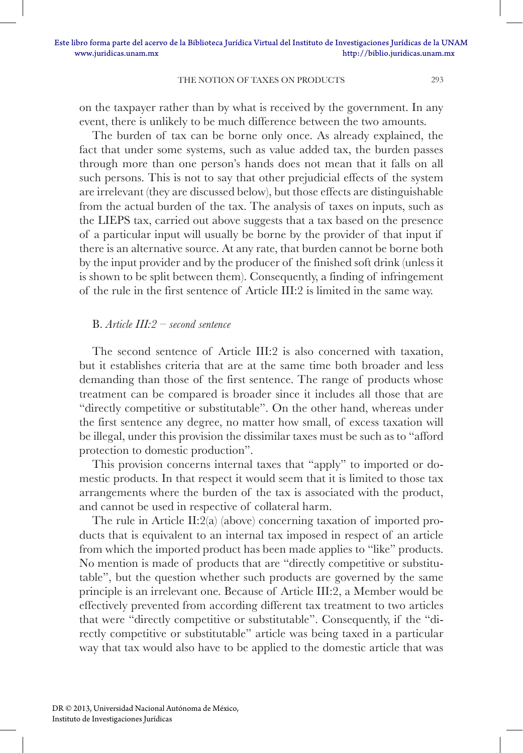on the taxpayer rather than by what is received by the government. In any event, there is unlikely to be much difference between the two amounts.

The burden of tax can be borne only once. As already explained, the fact that under some systems, such as value added tax, the burden passes through more than one person's hands does not mean that it falls on all such persons. This is not to say that other prejudicial effects of the system are irrelevant (they are discussed below), but those effects are distinguishable from the actual burden of the tax. The analysis of taxes on inputs, such as the LIEPS tax, carried out above suggests that a tax based on the presence of a particular input will usually be borne by the provider of that input if there is an alternative source. At any rate, that burden cannot be borne both by the input provider and by the producer of the finished soft drink (unless it is shown to be split between them). Consequently, a finding of infringement of the rule in the first sentence of Article III:2 is limited in the same way.

## B. *Article III:2 – second sentence*

The second sentence of Article III:2 is also concerned with taxation, but it establishes criteria that are at the same time both broader and less demanding than those of the first sentence. The range of products whose treatment can be compared is broader since it includes all those that are "directly competitive or substitutable". On the other hand, whereas under the first sentence any degree, no matter how small, of excess taxation will be illegal, under this provision the dissimilar taxes must be such as to "afford protection to domestic production".

This provision concerns internal taxes that "apply" to imported or domestic products. In that respect it would seem that it is limited to those tax arrangements where the burden of the tax is associated with the product, and cannot be used in respective of collateral harm.

The rule in Article II:2(a) (above) concerning taxation of imported products that is equivalent to an internal tax imposed in respect of an article from which the imported product has been made applies to "like" products. No mention is made of products that are "directly competitive or substitutable", but the question whether such products are governed by the same principle is an irrelevant one. Because of Article III:2, a Member would be effectively prevented from according different tax treatment to two articles that were "directly competitive or substitutable". Consequently, if the "directly competitive or substitutable" article was being taxed in a particular way that tax would also have to be applied to the domestic article that was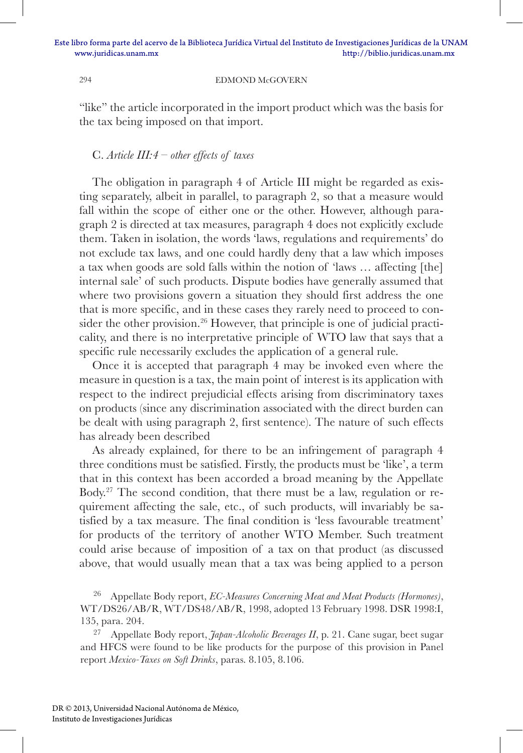"like" the article incorporated in the import product which was the basis for the tax being imposed on that import.

## C. *Article III:4 – other effects of taxes*

The obligation in paragraph 4 of Article III might be regarded as existing separately, albeit in parallel, to paragraph 2, so that a measure would fall within the scope of either one or the other. However, although paragraph 2 is directed at tax measures, paragraph 4 does not explicitly exclude them. Taken in isolation, the words 'laws, regulations and requirements' do not exclude tax laws, and one could hardly deny that a law which imposes a tax when goods are sold falls within the notion of 'laws … affecting [the] internal sale' of such products. Dispute bodies have generally assumed that where two provisions govern a situation they should first address the one that is more specific, and in these cases they rarely need to proceed to consider the other provision.<sup>26</sup> However, that principle is one of judicial practicality, and there is no interpretative principle of WTO law that says that a specific rule necessarily excludes the application of a general rule.

Once it is accepted that paragraph 4 may be invoked even where the measure in question is a tax, the main point of interest is its application with respect to the indirect prejudicial effects arising from discriminatory taxes on products (since any discrimination associated with the direct burden can be dealt with using paragraph 2, first sentence). The nature of such effects has already been described

As already explained, for there to be an infringement of paragraph 4 three conditions must be satisfied. Firstly, the products must be 'like', a term that in this context has been accorded a broad meaning by the Appellate Body.27 The second condition, that there must be a law, regulation or requirement affecting the sale, etc., of such products, will invariably be satisfied by a tax measure. The final condition is 'less favourable treatment' for products of the territory of another WTO Member. Such treatment could arise because of imposition of a tax on that product (as discussed above, that would usually mean that a tax was being applied to a person

<sup>26</sup> Appellate Body report, *EC-Measures Concerning Meat and Meat Products (Hormones)*, WT/DS26/AB/R, WT/DS48/AB/R, 1998, adopted 13 February 1998. DSR 1998:I, 135, para. 204.

<sup>27</sup> Appellate Body report, *Japan-Alcoholic Beverages II*, p. 21. Cane sugar, beet sugar and HFCS were found to be like products for the purpose of this provision in Panel report *Mexico-Taxes on Soft Drinks*, paras. 8.105, 8.106.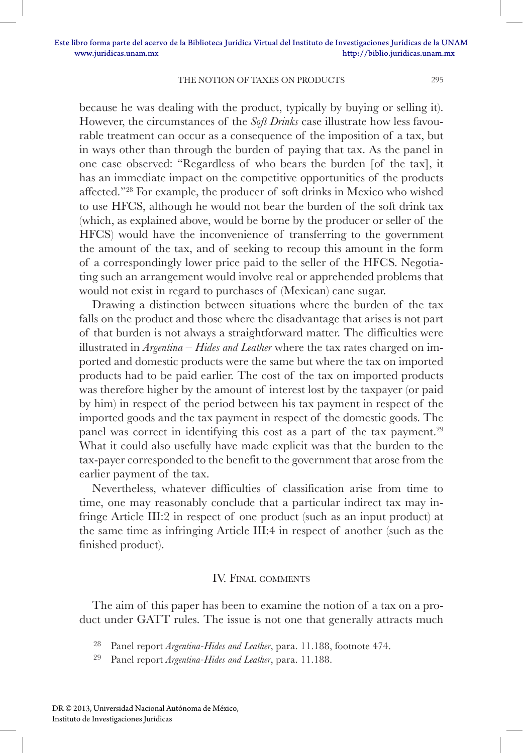because he was dealing with the product, typically by buying or selling it). However, the circumstances of the *Soft Drinks* case illustrate how less favourable treatment can occur as a consequence of the imposition of a tax, but in ways other than through the burden of paying that tax. As the panel in one case observed: "Regardless of who bears the burden [of the tax], it has an immediate impact on the competitive opportunities of the products affected."28 For example, the producer of soft drinks in Mexico who wished to use HFCS, although he would not bear the burden of the soft drink tax (which, as explained above, would be borne by the producer or seller of the HFCS) would have the inconvenience of transferring to the government the amount of the tax, and of seeking to recoup this amount in the form of a correspondingly lower price paid to the seller of the HFCS. Negotiating such an arrangement would involve real or apprehended problems that would not exist in regard to purchases of (Mexican) cane sugar.

Drawing a distinction between situations where the burden of the tax falls on the product and those where the disadvantage that arises is not part of that burden is not always a straightforward matter. The difficulties were illustrated in *Argentina – Hides and Leather* where the tax rates charged on imported and domestic products were the same but where the tax on imported products had to be paid earlier. The cost of the tax on imported products was therefore higher by the amount of interest lost by the taxpayer (or paid by him) in respect of the period between his tax payment in respect of the imported goods and the tax payment in respect of the domestic goods. The panel was correct in identifying this cost as a part of the tax payment.<sup>29</sup> What it could also usefully have made explicit was that the burden to the tax-payer corresponded to the benefit to the government that arose from the earlier payment of the tax.

Nevertheless, whatever difficulties of classification arise from time to time, one may reasonably conclude that a particular indirect tax may infringe Article III:2 in respect of one product (such as an input product) at the same time as infringing Article III:4 in respect of another (such as the finished product).

### IV. Final comments

The aim of this paper has been to examine the notion of a tax on a product under GATT rules. The issue is not one that generally attracts much

<sup>28</sup> Panel report *Argentina-Hides and Leather*, para. 11.188, footnote 474.

<sup>29</sup> Panel report *Argentina-Hides and Leather*, para. 11.188.